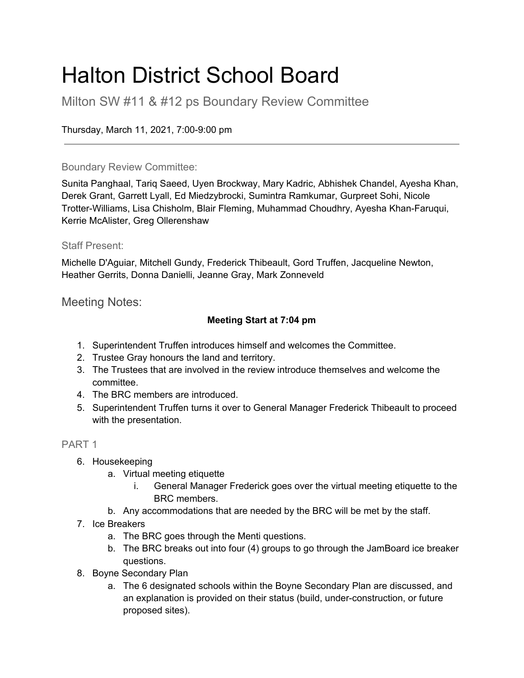# Halton District School Board

Milton SW #11 & #12 ps Boundary Review Committee

Thursday, March 11, 2021, 7:00-9:00 pm

#### Boundary Review Committee:

Sunita Panghaal, Tariq Saeed, Uyen Brockway, Mary Kadric, Abhishek Chandel, Ayesha Khan, Derek Grant, Garrett Lyall, Ed Miedzybrocki, Sumintra Ramkumar, Gurpreet Sohi, Nicole Trotter-Williams, Lisa Chisholm, Blair Fleming, Muhammad Choudhry, Ayesha Khan-Faruqui, Kerrie McAlister, Greg Ollerenshaw

#### Staff Present:

Michelle D'Aguiar, Mitchell Gundy, Frederick Thibeault, Gord Truffen, Jacqueline Newton, Heather Gerrits, Donna Danielli, Jeanne Gray, Mark Zonneveld

Meeting Notes:

### **Meeting Start at 7:04 pm**

- 1. Superintendent Truffen introduces himself and welcomes the Committee.
- 2. Trustee Gray honours the land and territory.
- 3. The Trustees that are involved in the review introduce themselves and welcome the committee.
- 4. The BRC members are introduced.
- 5. Superintendent Truffen turns it over to General Manager Frederick Thibeault to proceed with the presentation.

### PART 1

- 6. Housekeeping
	- a. Virtual meeting etiquette
		- i. General Manager Frederick goes over the virtual meeting etiquette to the BRC members.
	- b. Any accommodations that are needed by the BRC will be met by the staff.
- 7. Ice Breakers
	- a. The BRC goes through the Menti questions.
	- b. The BRC breaks out into four (4) groups to go through the JamBoard ice breaker questions.
- 8. Boyne Secondary Plan
	- a. The 6 designated schools within the Boyne Secondary Plan are discussed, and an explanation is provided on their status (build, under-construction, or future proposed sites).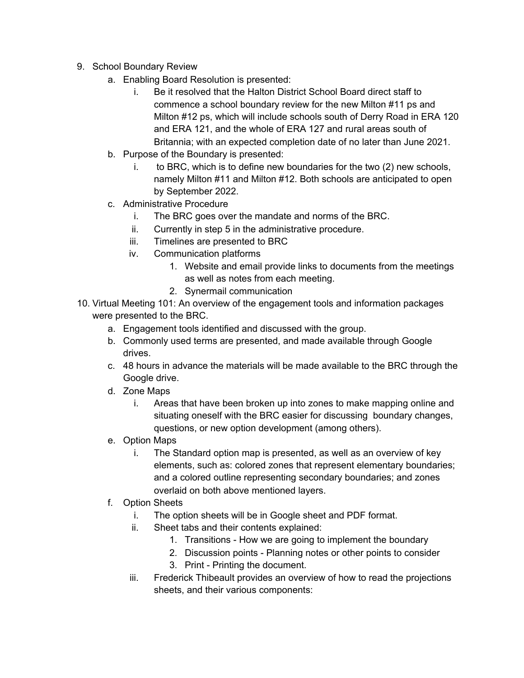- 9. School Boundary Review
	- a. Enabling Board Resolution is presented:
		- i. Be it resolved that the Halton District School Board direct staff to commence a school boundary review for the new Milton #11 ps and Milton #12 ps, which will include schools south of Derry Road in ERA 120 and ERA 121, and the whole of ERA 127 and rural areas south of Britannia; with an expected completion date of no later than June 2021.
	- b. Purpose of the Boundary is presented:
		- i. to BRC, which is to define new boundaries for the two (2) new schools, namely Milton #11 and Milton #12. Both schools are anticipated to open by September 2022.
	- c. Administrative Procedure
		- i. The BRC goes over the mandate and norms of the BRC.
		- ii. Currently in step 5 in the administrative procedure.
		- iii. Timelines are presented to BRC
		- iv. Communication platforms
			- 1. Website and email provide links to documents from the meetings as well as notes from each meeting.
			- 2. Synermail communication
- 10. Virtual Meeting 101: An overview of the engagement tools and information packages were presented to the BRC.
	- a. Engagement tools identified and discussed with the group.
	- b. Commonly used terms are presented, and made available through Google drives.
	- c. 48 hours in advance the materials will be made available to the BRC through the Google drive.
	- d. Zone Maps
		- i. Areas that have been broken up into zones to make mapping online and situating oneself with the BRC easier for discussing boundary changes, questions, or new option development (among others).
	- e. Option Maps
		- i. The Standard option map is presented, as well as an overview of key elements, such as: colored zones that represent elementary boundaries; and a colored outline representing secondary boundaries; and zones overlaid on both above mentioned layers.
	- f. Option Sheets
		- i. The option sheets will be in Google sheet and PDF format.
		- ii. Sheet tabs and their contents explained:
			- 1. Transitions How we are going to implement the boundary
			- 2. Discussion points Planning notes or other points to consider
			- 3. Print Printing the document.
		- iii. Frederick Thibeault provides an overview of how to read the projections sheets, and their various components: